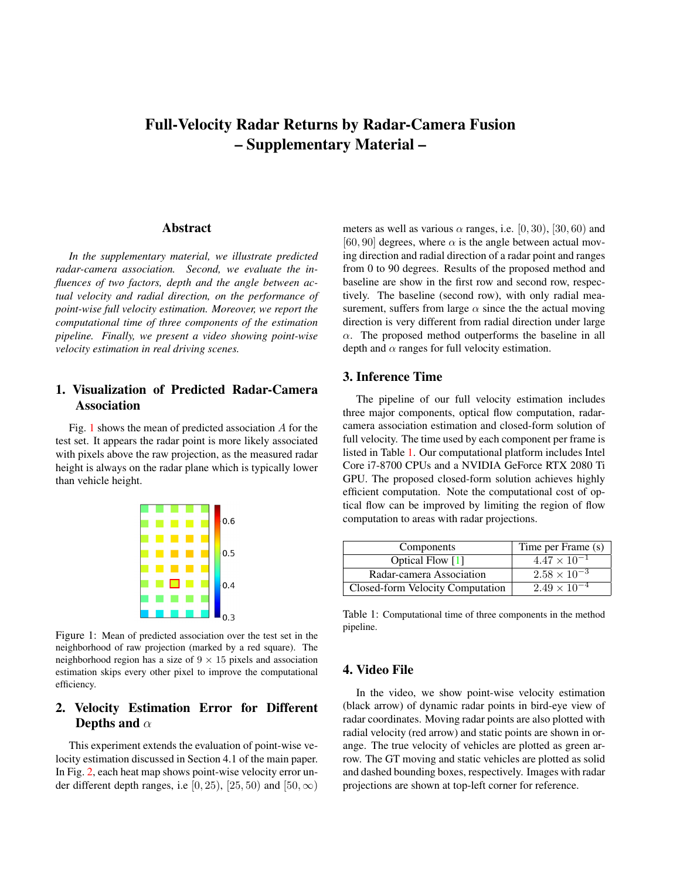# <span id="page-0-2"></span>Full-Velocity Radar Returns by Radar-Camera Fusion – Supplementary Material –

#### **Abstract**

*In the supplementary material, we illustrate predicted radar-camera association. Second, we evaluate the influences of two factors, depth and the angle between actual velocity and radial direction, on the performance of point-wise full velocity estimation. Moreover, we report the computational time of three components of the estimation pipeline. Finally, we present a video showing point-wise velocity estimation in real driving scenes.*

# 1. Visualization of Predicted Radar-Camera Association

<span id="page-0-0"></span>Fig. [1](#page-0-0) shows the mean of predicted association A for the test set. It appears the radar point is more likely associated with pixels above the raw projection, as the measured radar height is always on the radar plane which is typically lower than vehicle height.



Figure 1: Mean of predicted association over the test set in the neighborhood of raw projection (marked by a red square). The neighborhood region has a size of  $9 \times 15$  pixels and association estimation skips every other pixel to improve the computational efficiency.

# 2. Velocity Estimation Error for Different Depths and  $\alpha$

This experiment extends the evaluation of point-wise velocity estimation discussed in Section 4.1 of the main paper. In Fig. [2,](#page-1-0) each heat map shows point-wise velocity error under different depth ranges, i.e [0, 25), [25, 50) and [50,  $\infty$ ) meters as well as various  $\alpha$  ranges, i.e. [0, 30], [30, 60] and [60, 90] degrees, where  $\alpha$  is the angle between actual moving direction and radial direction of a radar point and ranges from 0 to 90 degrees. Results of the proposed method and baseline are show in the first row and second row, respectively. The baseline (second row), with only radial measurement, suffers from large  $\alpha$  since the the actual moving direction is very different from radial direction under large  $\alpha$ . The proposed method outperforms the baseline in all depth and  $\alpha$  ranges for full velocity estimation.

### 3. Inference Time

The pipeline of our full velocity estimation includes three major components, optical flow computation, radarcamera association estimation and closed-form solution of full velocity. The time used by each component per frame is listed in Table [1.](#page-0-1) Our computational platform includes Intel Core i7-8700 CPUs and a NVIDIA GeForce RTX 2080 Ti GPU. The proposed closed-form solution achieves highly efficient computation. Note the computational cost of optical flow can be improved by limiting the region of flow computation to areas with radar projections.

<span id="page-0-1"></span>

| Components                       | Time per Frame (s)    |
|----------------------------------|-----------------------|
| Optical Flow [1]                 | $4.47 \times 10^{-1}$ |
| Radar-camera Association         | $2.58 \times 10^{-3}$ |
| Closed-form Velocity Computation | $2.49 \times 10^{-4}$ |

Table 1: Computational time of three components in the method pipeline.

#### 4. Video File

In the video, we show point-wise velocity estimation (black arrow) of dynamic radar points in bird-eye view of radar coordinates. Moving radar points are also plotted with radial velocity (red arrow) and static points are shown in orange. The true velocity of vehicles are plotted as green arrow. The GT moving and static vehicles are plotted as solid and dashed bounding boxes, respectively. Images with radar projections are shown at top-left corner for reference.